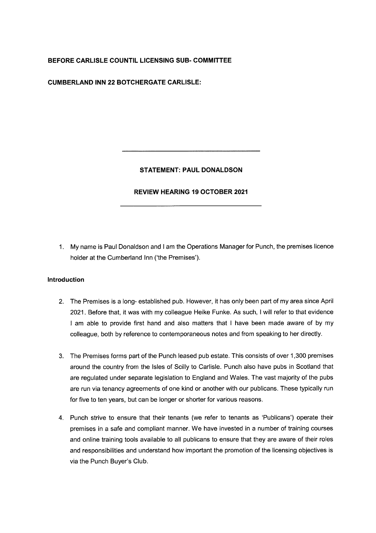## **BEFORE CARLISLE COUNTIL LICENSING SUB- COMMITTEE**

**CUMBERLAND INN 22 BOTCHERGATE CARLISLE:** 

## **STATEMENT: PAUL DONALDSON**

### **REVIEW HEARING 19 OCTOBER 2021**

1. My name is Paul Donaldson and I am the Operations Manager for Punch, the premises licence holder at the Cumberland Inn ('the Premises').

### **Introduction**

- 2. The Premises is a long- established pub. However, it has only been part of my area since April 2021. Before that, it was with my colleague Heike Funke. As such, I will refer to that evidence I am able to provide first hand and also matters that I have been made aware of by my colleague, both by reference to contemporaneous notes and from speaking to her directly.
- 3. The Premises forms part of the Punch leased pub estate. This consists of over 1,300 premises around the country from the Isles of Scilly to Carlisle. Punch also have pubs in Scotland that are regulated under separate legislation to England and Wales. The vast majority of the pubs are run via tenancy agreements of one kind or another with our publicans. These typically run for five to ten years, but can be longer or shorter for various reasons.
- 4. Punch strive to ensure that their tenants (we refer to tenants as 'Publicans') operate their premises in a safe and compliant manner. We have invested in a number of training courses and online training tools available to all publicans to ensure that they are aware of their roles and responsibilities and understand how important the promotion of the licensing objectives is via the Punch Buyer's Club.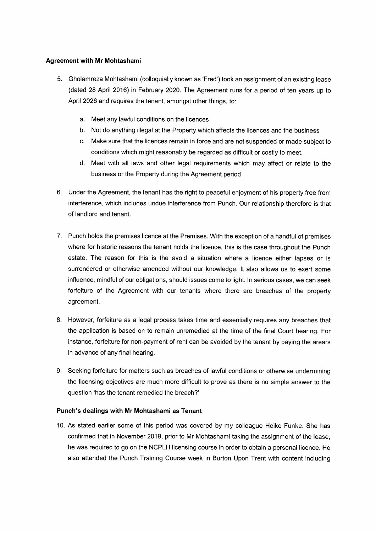### **Agreement with Mr Mohtashami**

- 5. Gholamreza Mohtashami (colloquially known as 'Fred') took an assignment of an existing lease (dated 28 April 2016) in February 2020. The Agreement runs for a period of ten years up to April 2026 and requires the tenant, amongst other things, to:
	- a. Meet any lawful conditions on the licences
	- b. Not do anything illegal at the Property which affects the licences and the business
	- c. Make sure that the licences remain in force and are not suspended or made subject to conditions which might reasonably be regarded as difficult or costly to meet.
	- d. Meet with all laws and other legal requirements which may affect or relate to the business or the Property during the Agreement period
- 6. Under the Agreement, the tenant has the right to peaceful enjoyment of his property free from interference, which includes undue interference from Punch. Our relationship therefore is that of landlord and tenant.
- 7. Punch holds the premises licence at the Premises. With the exception of a handful of premises where for historic reasons the tenant holds the licence, this is the case throughout the Punch estate. The reason for this is the avoid a situation where a licence either lapses or is surrendered or otherwise amended without our knowledge. It also allows us to exert some influence, mindful of our obligations, should issues come to light. In serious cases, we can seek forfeiture of the Agreement with our tenants where there are breaches of the property agreement.
- 8. However, forfeiture as a legal process takes time and essentially requires any breaches that the application is based on to remain unremedied at the time of the final Court hearing. For instance, forfeiture for non-payment of rent can be avoided by the tenant by paying the arears in advance of any final hearing.
- 9. Seeking forfeiture for matters such as breaches of lawful conditions or otherwise undermining the licensing objectives are much more difficult to prove as there is no simple answer to the question 'has the tenant remedied the breach?'

# **Punch's dealings with Mr Mohtashami as Tenant**

10. As stated earlier some of this period was covered by my colleague Heike Funke. She has confirmed that in November 2019, prior to Mr Mohtashami taking the assignment of the lease, he was required to go on the NCPLH licensing course in order to obtain a personal licence. He also attended the Punch Training Course week in Burton Upon Trent with content including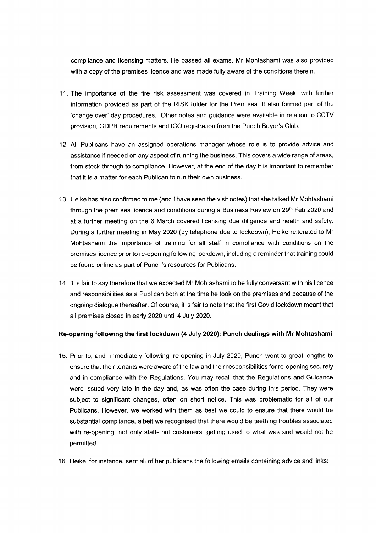compliance and licensing matters. He passed all exams. Mr Mohtashami was also provided with a copy of the premises licence and was made fully aware of the conditions therein.

- 11. The importance of the fire risk assessment was covered in Training Week, with further information provided as part of the RISK folder for the Premises. It also formed part of the 'change over' day procedures. Other notes and guidance were available in relation to CCTV provision, GDPR requirements and ICO registration from the Punch Buyer's Club.
- 12. All Publicans have an assigned operations manager whose role is to provide advice and assistance if needed on any aspect of running the business. This covers a wide range of areas, from stock through to compliance. However, at the end of the day it is important to remember that it is a matter for each Publican to run their own business.
- 13. Heike has also confirmed to me (and I have seen the visit notes) that she talked Mr Mohtashami through the premises licence and conditions during a Business Review on  $29<sup>th</sup>$  Feb 2020 and at a further meeting on the 6 March covered licensing due diligence and health and safety. During a further meeting in May 2020 (by telephone due to lockdown), Heike reiterated to Mr Mohtashami the importance of training for all staff in compliance with conditions on the premises licence prior to re-opening following lockdown, including a reminder that training could be found online as part of Punch's resources for Publicans.
- 14. It is fair to say therefore that we expected Mr Mohtashami to be fully conversant with his licence and responsibilities as a Publican both at the time he took on the premises and because of the ongoing dialogue thereafter. Of course, it is fair to note that the first Covid lockdown meant that all premises closed in early 2020 until 4 July 2020.

#### **Re-opening following the first lockdown (4 July 2020): Punch dealings with Mr Mohtashami**

- 15. Prior to, and immediately following, re-opening in July 2020, Punch went to great lengths to ensure that their tenants were aware of the law and their responsibilities for re-opening securely and in compliance with the Regulations. You may recall that the Regulations and Guidance were issued very late in the day and, as was often the case during this period. They were subject to significant changes, often on short notice. This was problematic for all of our Publicans. However, we worked with them as best we could to ensure that there would be substantial compliance, albeit we recognised that there would be teething troubles associated with re-opening, not only staff- but customers, getting used to what was and would not be permitted.
- 16. Heike, for instance, sent all of her publicans the following emails containing advice and links: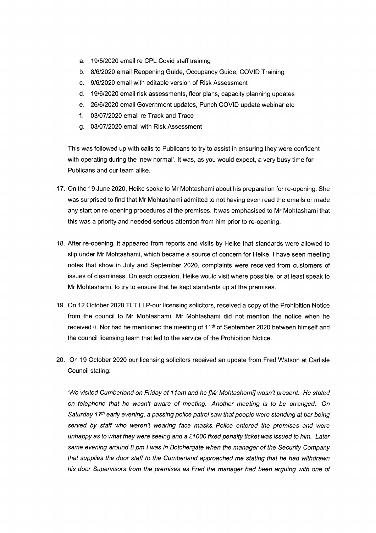- a. 19/5/2020 email re CPL Covid staff training
- b. 8/6/2020 email Reopening Guide, Occupancy Guide, COVID Training
- c. 9/6/2020 email with editable version of Risk Assessment
- d. 19/6/2020 email risk assessments, floor plans, capacity planning updates
- e. 26/6/2020 email Government updates, Punch COVID update webinar etc
- f. 03/07/2020 email re Track and Trace
- g. 03/07/2020 email with Risk Assessment

This was followed up with calls to Publicans to try to assist in ensuring they were confident with operating during the 'new normal'. It was, as you would expect, a very busy time for Publicans and our team alike.

- 17. On the 19 June 2020, Heike spoke to Mr Mohtashami about his preparation for re-opening. She was surprised to find that Mr Mohtashami admitted to not having even read the emails or made any start on re-opening procedures at the premises. It was emphasised to Mr Mohtashami that this was a priority and needed serious attention from him prior to re-opening.
- 18. After re-opening, it appeared from reports and visits by Heike that standards were allowed to slip under Mr Mohtashami, which became a source of concern for Heike. I have seen meeting notes that show in July and September 2020, complaints were received from customers of issues of cleanliness. On each occasion, Heike would visit where possible, or at least speak to Mr Mohtashami, to try to ensure that he kept standards up at the premises.
- 19. On 12 October 2020 TLT LLP-our licensing solicitors, received a copy of the Prohibition Notice from the council to Mr Mohtashami. Mr Mohtashami did not mention the notice when he received it. Nor had he mentioned the meeting of 11<sup>th</sup> of September 2020 between himself and the council licensing team that led to the service of the Prohibition Notice.
- 20. On 19 October 2020 our licensing solicitors received an update from Fred Watson at Carlisle Council stating:

*'We visited Cumberland on Friday at 11 am and he [Mr Mohtashami] wasn't present. He stated on telephone that he wasn't aware of meeting. Another meeting is to be arranged. On*  Saturday 17<sup>th</sup> early evening, a passing police patrol saw that people were standing at bar being *served by staff who weren't wearing face masks. Police entered the premises and were unhappy as to what they were seeing and* a *£1000 fixed penalty ticket was issued to him. Later same evening around 8 pm I was in Botchergate when the manager of the Security Company that supplies the door staff to the Cumberland approached me stating that he had withdrawn his door Supervisors from the premises as Fred the manager had been arguing with one of*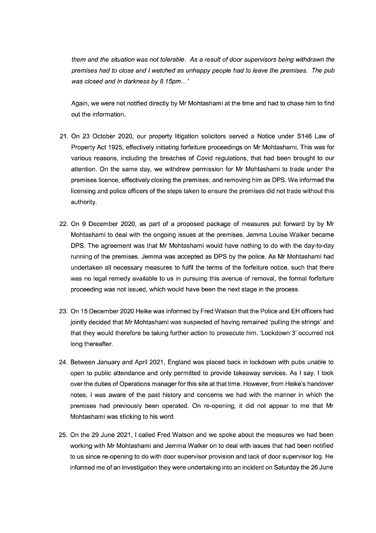*them and the situation* was *not tolerable. As* a *result of door supervisors being withdrawn the premises had to close and I watched* as *unhappy people had to leave the premises. The pub*  was *closed and in darkness by 8.15pm ...'* 

Again, we were not notified directly by Mr Mohtashami at the time and had to chase him to find out the information.

- 21. On 23 October 2020, our property litigation solicitors served a Notice under S146 Law of Property Act 1925, effectively initiating forfeiture proceedings on Mr Mohtashami. This was for various reasons, including the breaches of Covid regulations, that had been brought to our attention. On the same day, we withdrew permission for Mr Mohtashami to trade under the premises licence, effectively closing the premises, and removing him as DPS. We informed the licensing and police officers of the steps taken to ensure the premises did not trade without this authority.
- 22. On 9 December 2020, as part of a proposed package of measures put forward by by Mr Mohtashami to deal with the ongoing issues at the premises, Jemma Louise Walker became DPS. The agreement was that Mr Mohtashami would have nothing to do with the day-to-day running of the premises. Jemma was accepted as DPS by the police. As Mr Mohtashami had undertaken all necessary measures to fulfil the terms of the forfeiture notice, such that there was no legal remedy available to us in pursuing this avenue of removal, the formal forfeiture proceeding was not issued, which would have been the next stage in the process.
- 23. On 15 December 2020 Heike was informed by Fred Watson that the Police and EH officers had jointly decided that Mr Mohtashami was suspected of having remained 'pulling the strings' and that they would therefore be taking further action to prosecute him. 'Lockdown 3' occurred not long thereafter.
- 24. Between January and April 2021, England was placed back in lockdown with pubs unable to open to public attendance and only permitted to provide takeaway services. As I say, I took over the duties of Operations manager for this site at that time. However, from Heike's handover notes, I was aware of the past history and concerns we had with the manner in which the premises had previously been operated. On re-opening, it did not appear to me that Mr Mohtashami was sticking to his word.
- 25. On the 29 June 2021, I called Fred Watson and we spoke about the measures we had been working with Mr Mohtashami and Jemma Walker on to deal with issues that had been notified to us since re-opening to do with door supervisor provision and lack of door supervisor log. He informed me of an investigation they were undertaking into an incident on Saturday the 26 June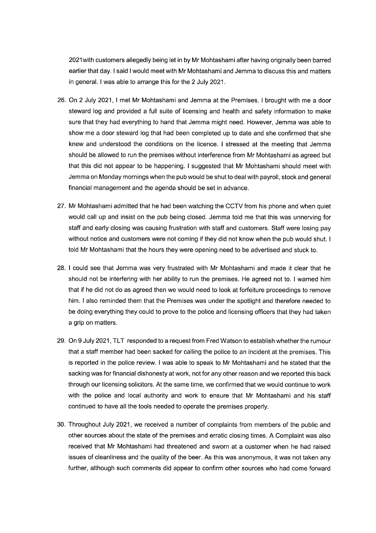2021with customers allegedly being let in by Mr Mohtashami after having originally been barred earlier that day. I said I would meet with Mr Mohtashami and Jemma to discuss this and matters in general. I was able to arrange this for the 2 July 2021.

- 26. On 2 July 2021, I met Mr Mohtashami and Jemma at the Premises. I brought with me a door steward log and provided a full suite of licensing and health and safety information to make sure that they had everything to hand that Jemma might need. However, Jemma was able to show me a door steward log that had been completed up to date and she confirmed that she knew and understood the conditions on the licence. I stressed at the meeting that Jemma should be allowed to run the premises without interference from Mr Mohtashami as agreed but that this did not appear to be happening. I suggested that Mr Mohtashami should meet with Jemma on Monday mornings when the pub would be shut to deal with payroll, stock and general financial management and the agenda should be set in advance.
- 27. Mr Mohtashami admitted that he had been watching the CCTV from his phone and when quiet would call up and insist on the pub being closed. Jemma told me that this was unnerving for staff and early closing was causing frustration with staff and customers. Staff were losing pay without notice and customers were not coming if they did not know when the pub would shut. I told Mr Mohtashami that the hours they were opening need to be advertised and stuck to.
- 28. I could see that Jemma was very frustrated with Mr Mohtashami and made it clear that he should not be interfering with her ability to run the premises. He agreed not to. I warned him that if he did not do as agreed then we would need to look at forfeiture proceedings to remove him. I also reminded them that the Premises was under the spotlight and therefore needed to be doing everything they could to prove to the police and licensing officers that they had taken a grip on matters.
- 29. On 9 July 2021, TLT responded to a request from Fred Watson to establish whether the rumour that a staff member had been sacked for calling the police to an incident at the premises. This is reported in the police review. I was able to speak to Mr Mohtashami and he stated that the sacking was for financial dishonesty at work, not for any other reason and we reported this back through our licensing solicitors. At the same time, we confirmed that we would continue to work with the police and local authority and work to ensure that Mr Mohtashami and his staff continued to have all the tools needed to operate the premises properly.
- 30. Throughout July 2021, we received a number of complaints from members of the public and other sources about the state of the premises and erratic closing times. A Complaint was also received that Mr Mohtashami had threatened and sworn at a customer when he had raised issues of cleanliness and the quality of the beer. As this was anonymous, it was not taken any further, although such comments did appear to confirm other sources who had come forward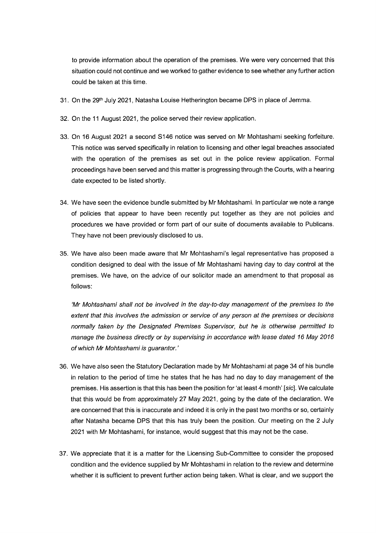to provide information about the operation of the premises. We were very concerned that this situation could not continue and we worked to gather evidence to see whether any further action could be taken at this time.

- 31. On the 29<sup>th</sup> July 2021, Natasha Louise Hetherington became DPS in place of Jemma.
- 32. On the 11 August 2021, the police served their review application.
- 33. On 16 August 2021 a second S146 notice was served on Mr Mohtashami seeking forfeiture. This notice was served specifically in relation to licensing and other legal breaches associated with the operation of the premises as set out in the police review application. Formal proceedings have been served and this matter is progressing through the Courts, with a hearing date expected to be listed shortly.
- 34. We have seen the evidence bundle submitted by Mr Mohtashami. In particular we note a range of policies that appear to have been recently put together as they are not policies and procedures we have provided or form part of our suite of documents available to Publicans. They have not been previously disclosed to us.
- 35. We have also been made aware that Mr Mohtashami's legal representative has proposed a condition designed to deal with the issue of Mr Mohtashami having day to day control at the premises. We have, on the advice of our solicitor made an amendment to that proposal as follows:

*'Mr Mohtashami shall not be involved in the day-to-day management of the premises to the extent that this involves the admission or service of any person at the premises or decisions normally taken by the Designated Premises Supervisor, but he is otherwise permitted to manage the business directly or by supervising in accordance with lease dated 16 May 2016 of which Mr Mohtashami is guarantor.'* 

- 36. We have also seen the Statutory Declaration made by Mr Mohtashami at page 34 of his bundle in relation to the period of time he states that he has had no day to day management of the premises. His assertion is that this has been the position for 'at least 4 month' *[sic].* We calculate that this would be from approximately 27 May 2021, going by the date of the declaration. We are concerned that this is inaccurate and indeed it is only in the past two months or so, certainly after Natasha became DPS that this has truly been the position. Our meeting on the 2 July 2021 with Mr Mohtashami, for instance, would suggest that this may not be the case.
- 37. We appreciate that it is a matter for the Licensing Sub-Committee to consider the proposed condition and the evidence supplied by Mr Mohtashami in relation to the review and determine whether it is sufficient to prevent further action being taken. What is clear, and we support the